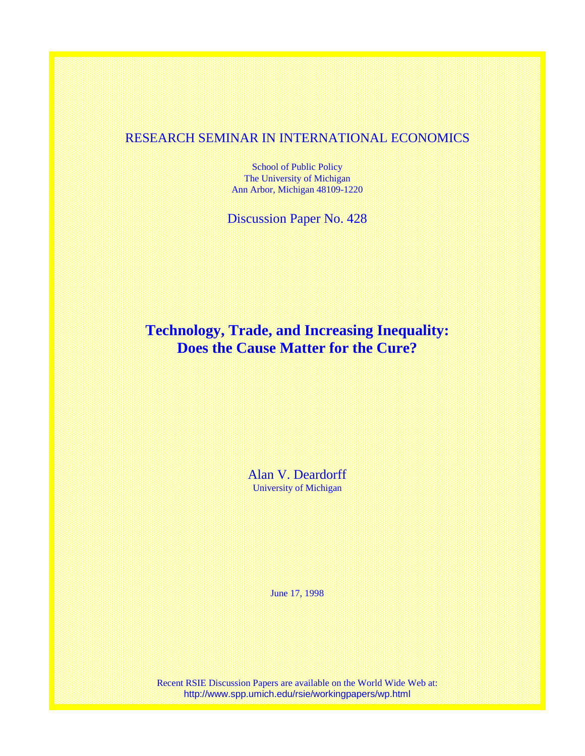## RESEARCH SEMINAR IN INTERNATIONAL ECONOMICS

School of Public Policy The University of Michigan Ann Arbor, Michigan 48109-1220

Discussion Paper No. 428

# **Technology, Trade, and Increasing Inequality: Does the Cause Matter for the Cure?**

Alan V. Deardorff University of Michigan

June 17, 1998

Recent RSIE Discussion Papers are available on the World Wide Web at: http://www.spp.umich.edu/rsie/workingpapers/wp.html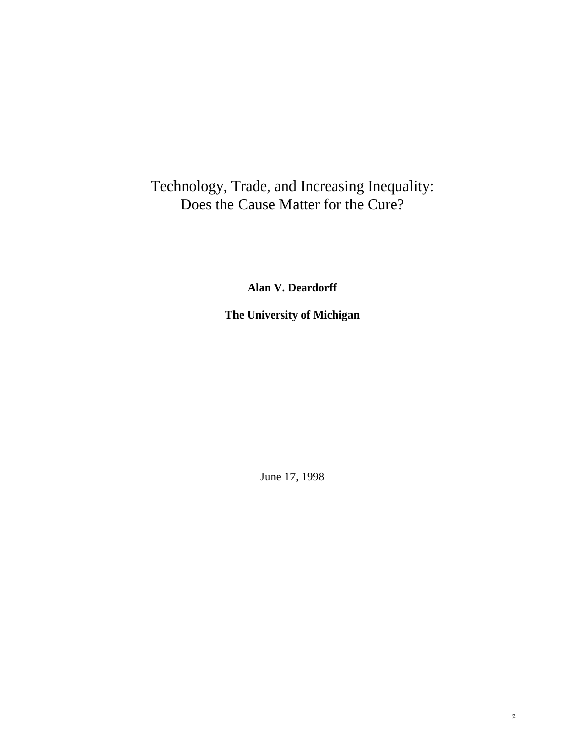# Technology, Trade, and Increasing Inequality: Does the Cause Matter for the Cure?

**Alan V. Deardorff**

**The University of Michigan**

June 17, 1998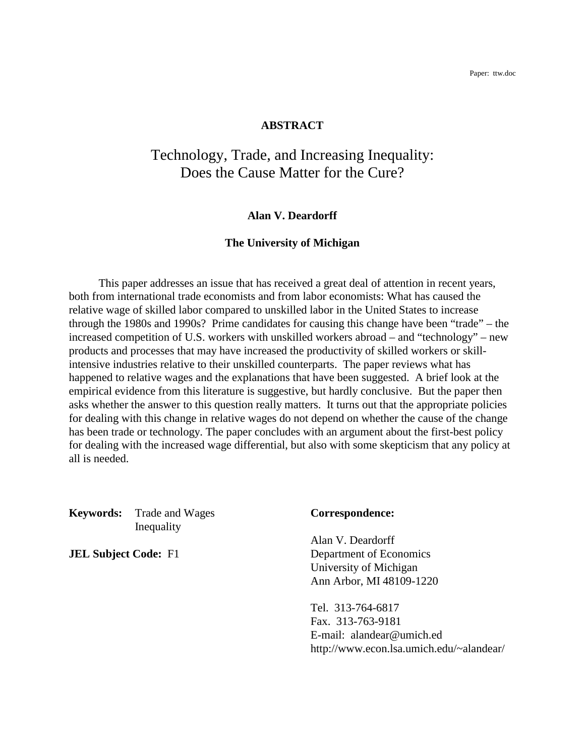Paper: ttw.doc

#### **ABSTRACT**

# Technology, Trade, and Increasing Inequality: Does the Cause Matter for the Cure?

#### **Alan V. Deardorff**

#### **The University of Michigan**

This paper addresses an issue that has received a great deal of attention in recent years, both from international trade economists and from labor economists: What has caused the relative wage of skilled labor compared to unskilled labor in the United States to increase through the 1980s and 1990s? Prime candidates for causing this change have been "trade" – the increased competition of U.S. workers with unskilled workers abroad – and "technology" – new products and processes that may have increased the productivity of skilled workers or skillintensive industries relative to their unskilled counterparts. The paper reviews what has happened to relative wages and the explanations that have been suggested. A brief look at the empirical evidence from this literature is suggestive, but hardly conclusive. But the paper then asks whether the answer to this question really matters. It turns out that the appropriate policies for dealing with this change in relative wages do not depend on whether the cause of the change has been trade or technology. The paper concludes with an argument about the first-best policy for dealing with the increased wage differential, but also with some skepticism that any policy at all is needed.

**Keywords:** Trade and Wages **Correspondence:** Inequality

Alan V. Deardorff **JEL Subject Code:** F1 Department of Economics University of Michigan Ann Arbor, MI 48109-1220

> Tel. 313-764-6817 Fax. 313-763-9181 E-mail: alandear@umich.ed http://www.econ.lsa.umich.edu/~alandear/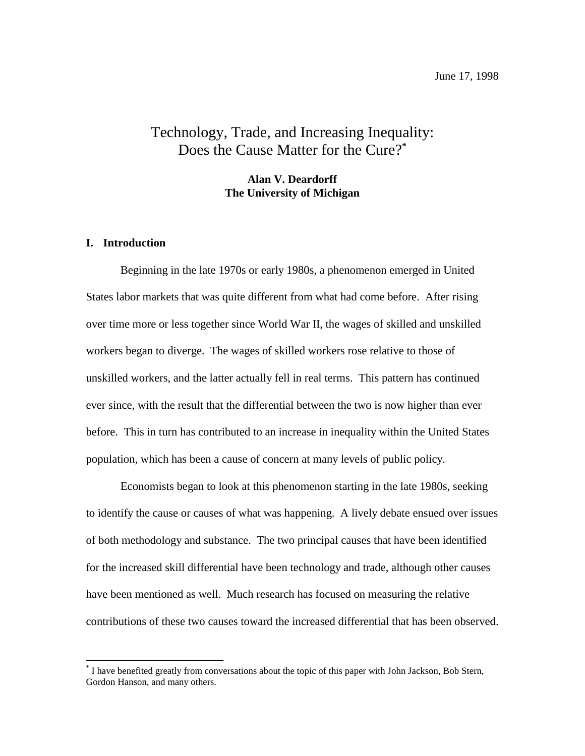# Technology, Trade, and Increasing Inequality: Does the Cause Matter for the Cure?**\***

### **Alan V. Deardorff The University of Michigan**

#### **I. Introduction**

 $\overline{a}$ 

Beginning in the late 1970s or early 1980s, a phenomenon emerged in United States labor markets that was quite different from what had come before. After rising over time more or less together since World War II, the wages of skilled and unskilled workers began to diverge. The wages of skilled workers rose relative to those of unskilled workers, and the latter actually fell in real terms. This pattern has continued ever since, with the result that the differential between the two is now higher than ever before. This in turn has contributed to an increase in inequality within the United States population, which has been a cause of concern at many levels of public policy.

Economists began to look at this phenomenon starting in the late 1980s, seeking to identify the cause or causes of what was happening. A lively debate ensued over issues of both methodology and substance. The two principal causes that have been identified for the increased skill differential have been technology and trade, although other causes have been mentioned as well. Much research has focused on measuring the relative contributions of these two causes toward the increased differential that has been observed.

<sup>\*</sup> I have benefited greatly from conversations about the topic of this paper with John Jackson, Bob Stern, Gordon Hanson, and many others.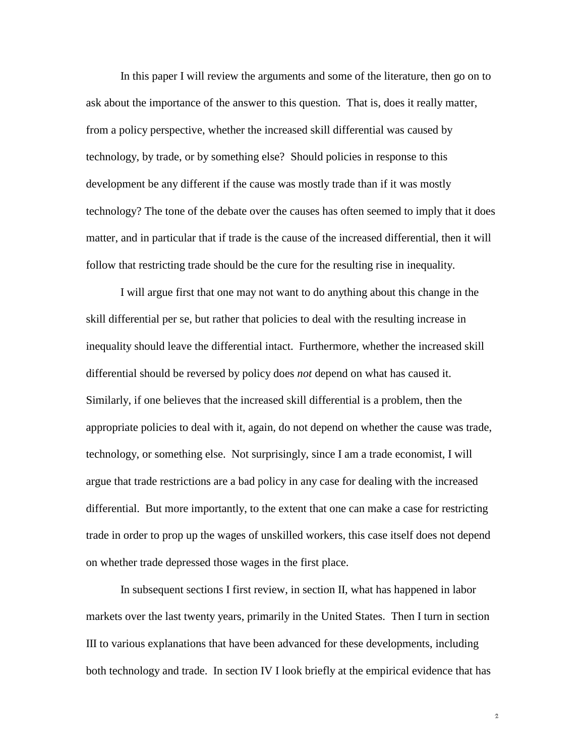In this paper I will review the arguments and some of the literature, then go on to ask about the importance of the answer to this question. That is, does it really matter, from a policy perspective, whether the increased skill differential was caused by technology, by trade, or by something else? Should policies in response to this development be any different if the cause was mostly trade than if it was mostly technology? The tone of the debate over the causes has often seemed to imply that it does matter, and in particular that if trade is the cause of the increased differential, then it will follow that restricting trade should be the cure for the resulting rise in inequality.

I will argue first that one may not want to do anything about this change in the skill differential per se, but rather that policies to deal with the resulting increase in inequality should leave the differential intact. Furthermore, whether the increased skill differential should be reversed by policy does *not* depend on what has caused it. Similarly, if one believes that the increased skill differential is a problem, then the appropriate policies to deal with it, again, do not depend on whether the cause was trade, technology, or something else. Not surprisingly, since I am a trade economist, I will argue that trade restrictions are a bad policy in any case for dealing with the increased differential. But more importantly, to the extent that one can make a case for restricting trade in order to prop up the wages of unskilled workers, this case itself does not depend on whether trade depressed those wages in the first place.

In subsequent sections I first review, in section II, what has happened in labor markets over the last twenty years, primarily in the United States. Then I turn in section III to various explanations that have been advanced for these developments, including both technology and trade. In section IV I look briefly at the empirical evidence that has

 $\tilde{2}$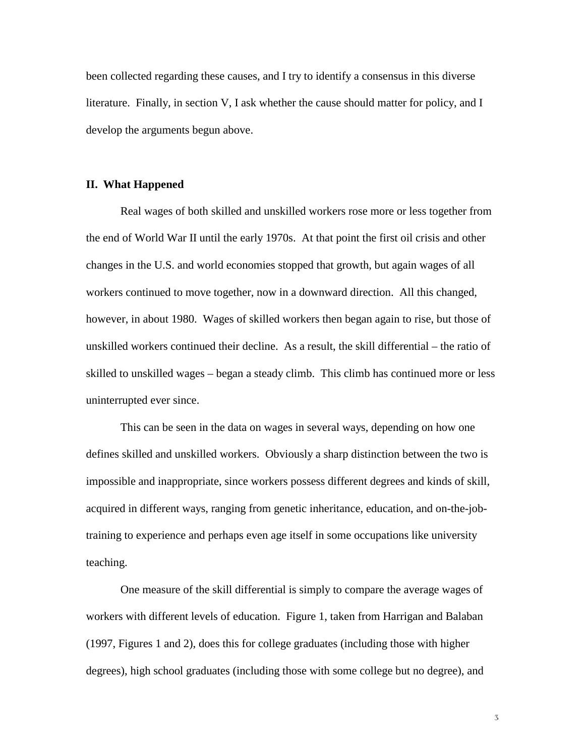been collected regarding these causes, and I try to identify a consensus in this diverse literature. Finally, in section V, I ask whether the cause should matter for policy, and I develop the arguments begun above.

#### **II. What Happened**

Real wages of both skilled and unskilled workers rose more or less together from the end of World War II until the early 1970s. At that point the first oil crisis and other changes in the U.S. and world economies stopped that growth, but again wages of all workers continued to move together, now in a downward direction. All this changed, however, in about 1980. Wages of skilled workers then began again to rise, but those of unskilled workers continued their decline. As a result, the skill differential – the ratio of skilled to unskilled wages – began a steady climb. This climb has continued more or less uninterrupted ever since.

This can be seen in the data on wages in several ways, depending on how one defines skilled and unskilled workers. Obviously a sharp distinction between the two is impossible and inappropriate, since workers possess different degrees and kinds of skill, acquired in different ways, ranging from genetic inheritance, education, and on-the-jobtraining to experience and perhaps even age itself in some occupations like university teaching.

One measure of the skill differential is simply to compare the average wages of workers with different levels of education. Figure 1, taken from Harrigan and Balaban (1997, Figures 1 and 2), does this for college graduates (including those with higher degrees), high school graduates (including those with some college but no degree), and

 $\overline{\mathcal{S}}$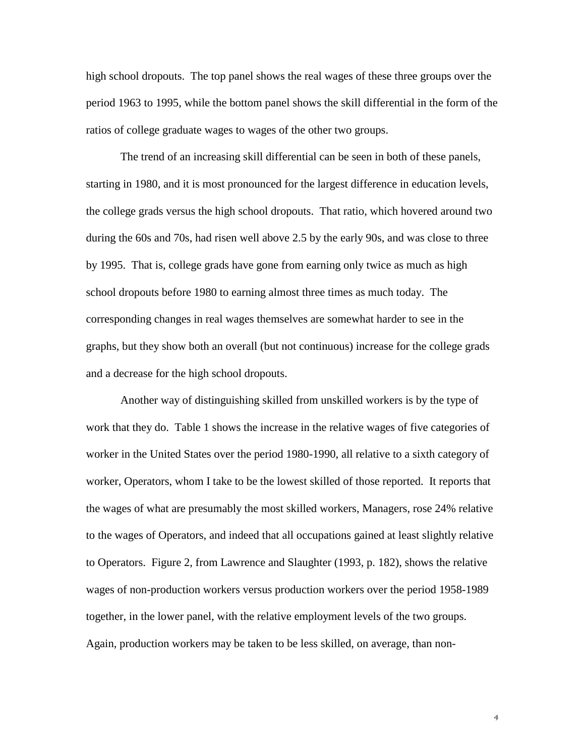high school dropouts. The top panel shows the real wages of these three groups over the period 1963 to 1995, while the bottom panel shows the skill differential in the form of the ratios of college graduate wages to wages of the other two groups.

The trend of an increasing skill differential can be seen in both of these panels, starting in 1980, and it is most pronounced for the largest difference in education levels, the college grads versus the high school dropouts. That ratio, which hovered around two during the 60s and 70s, had risen well above 2.5 by the early 90s, and was close to three by 1995. That is, college grads have gone from earning only twice as much as high school dropouts before 1980 to earning almost three times as much today. The corresponding changes in real wages themselves are somewhat harder to see in the graphs, but they show both an overall (but not continuous) increase for the college grads and a decrease for the high school dropouts.

Another way of distinguishing skilled from unskilled workers is by the type of work that they do. Table 1 shows the increase in the relative wages of five categories of worker in the United States over the period 1980-1990, all relative to a sixth category of worker, Operators, whom I take to be the lowest skilled of those reported. It reports that the wages of what are presumably the most skilled workers, Managers, rose 24% relative to the wages of Operators, and indeed that all occupations gained at least slightly relative to Operators. Figure 2, from Lawrence and Slaughter (1993, p. 182), shows the relative wages of non-production workers versus production workers over the period 1958-1989 together, in the lower panel, with the relative employment levels of the two groups. Again, production workers may be taken to be less skilled, on average, than non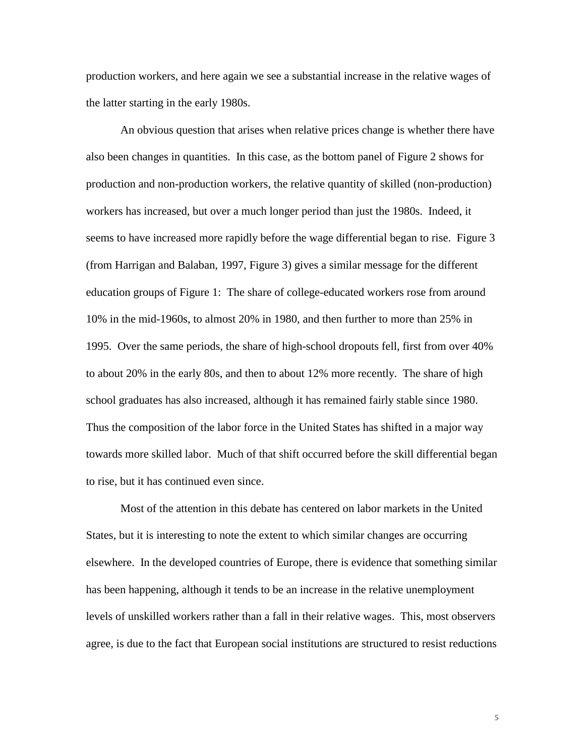production workers, and here again we see a substantial increase in the relative wages of the latter starting in the early 1980s.

An obvious question that arises when relative prices change is whether there have also been changes in quantities. In this case, as the bottom panel of Figure 2 shows for production and non-production workers, the relative quantity of skilled (non-production) workers has increased, but over a much longer period than just the 1980s. Indeed, it seems to have increased more rapidly before the wage differential began to rise. Figure 3 (from Harrigan and Balaban, 1997, Figure 3) gives a similar message for the different education groups of Figure 1: The share of college-educated workers rose from around 10% in the mid-1960s, to almost 20% in 1980, and then further to more than 25% in 1995. Over the same periods, the share of high-school dropouts fell, first from over 40% to about 20% in the early 80s, and then to about 12% more recently. The share of high school graduates has also increased, although it has remained fairly stable since 1980. Thus the composition of the labor force in the United States has shifted in a major way towards more skilled labor. Much of that shift occurred before the skill differential began to rise, but it has continued even since.

Most of the attention in this debate has centered on labor markets in the United States, but it is interesting to note the extent to which similar changes are occurring elsewhere. In the developed countries of Europe, there is evidence that something similar has been happening, although it tends to be an increase in the relative unemployment levels of unskilled workers rather than a fall in their relative wages. This, most observers agree, is due to the fact that European social institutions are structured to resist reductions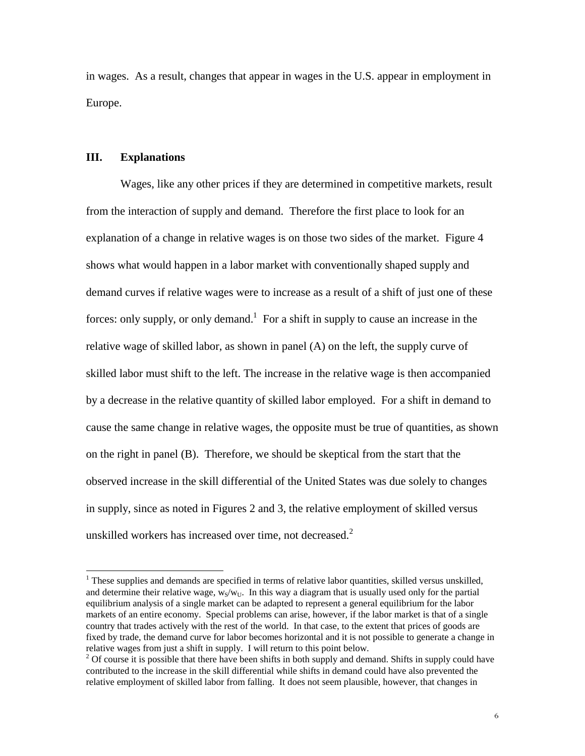in wages. As a result, changes that appear in wages in the U.S. appear in employment in Europe.

#### **III. Explanations**

 $\overline{a}$ 

Wages, like any other prices if they are determined in competitive markets, result from the interaction of supply and demand. Therefore the first place to look for an explanation of a change in relative wages is on those two sides of the market. Figure 4 shows what would happen in a labor market with conventionally shaped supply and demand curves if relative wages were to increase as a result of a shift of just one of these forces: only supply, or only demand.<sup>1</sup> For a shift in supply to cause an increase in the relative wage of skilled labor, as shown in panel (A) on the left, the supply curve of skilled labor must shift to the left. The increase in the relative wage is then accompanied by a decrease in the relative quantity of skilled labor employed. For a shift in demand to cause the same change in relative wages, the opposite must be true of quantities, as shown on the right in panel (B). Therefore, we should be skeptical from the start that the observed increase in the skill differential of the United States was due solely to changes in supply, since as noted in Figures 2 and 3, the relative employment of skilled versus unskilled workers has increased over time, not decreased. $2$ 

<sup>&</sup>lt;sup>1</sup> These supplies and demands are specified in terms of relative labor quantities, skilled versus unskilled, and determine their relative wage,  $w_S/w_U$ . In this way a diagram that is usually used only for the partial equilibrium analysis of a single market can be adapted to represent a general equilibrium for the labor markets of an entire economy. Special problems can arise, however, if the labor market is that of a single country that trades actively with the rest of the world. In that case, to the extent that prices of goods are fixed by trade, the demand curve for labor becomes horizontal and it is not possible to generate a change in relative wages from just a shift in supply. I will return to this point below.

 $2^{2}$  Of course it is possible that there have been shifts in both supply and demand. Shifts in supply could have contributed to the increase in the skill differential while shifts in demand could have also prevented the relative employment of skilled labor from falling. It does not seem plausible, however, that changes in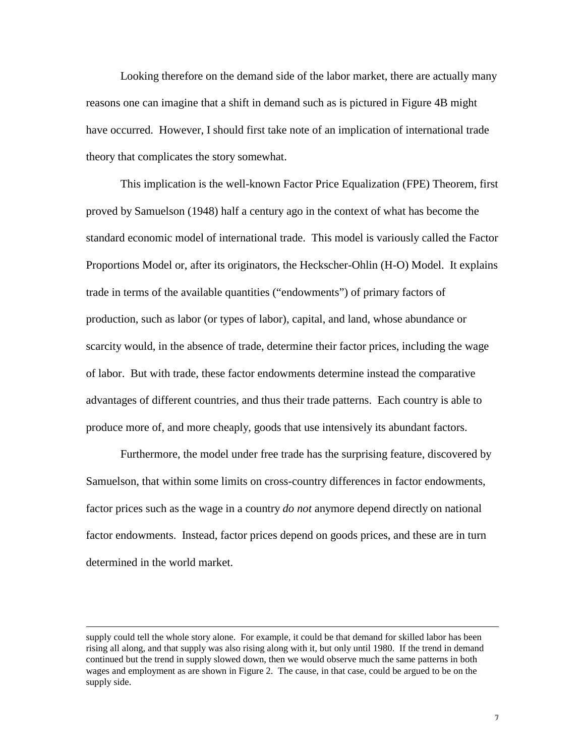Looking therefore on the demand side of the labor market, there are actually many reasons one can imagine that a shift in demand such as is pictured in Figure 4B might have occurred. However, I should first take note of an implication of international trade theory that complicates the story somewhat.

This implication is the well-known Factor Price Equalization (FPE) Theorem, first proved by Samuelson (1948) half a century ago in the context of what has become the standard economic model of international trade. This model is variously called the Factor Proportions Model or, after its originators, the Heckscher-Ohlin (H-O) Model. It explains trade in terms of the available quantities ("endowments") of primary factors of production, such as labor (or types of labor), capital, and land, whose abundance or scarcity would, in the absence of trade, determine their factor prices, including the wage of labor. But with trade, these factor endowments determine instead the comparative advantages of different countries, and thus their trade patterns. Each country is able to produce more of, and more cheaply, goods that use intensively its abundant factors.

Furthermore, the model under free trade has the surprising feature, discovered by Samuelson, that within some limits on cross-country differences in factor endowments, factor prices such as the wage in a country *do not* anymore depend directly on national factor endowments. Instead, factor prices depend on goods prices, and these are in turn determined in the world market.

supply could tell the whole story alone. For example, it could be that demand for skilled labor has been rising all along, and that supply was also rising along with it, but only until 1980. If the trend in demand continued but the trend in supply slowed down, then we would observe much the same patterns in both wages and employment as are shown in Figure 2. The cause, in that case, could be argued to be on the supply side.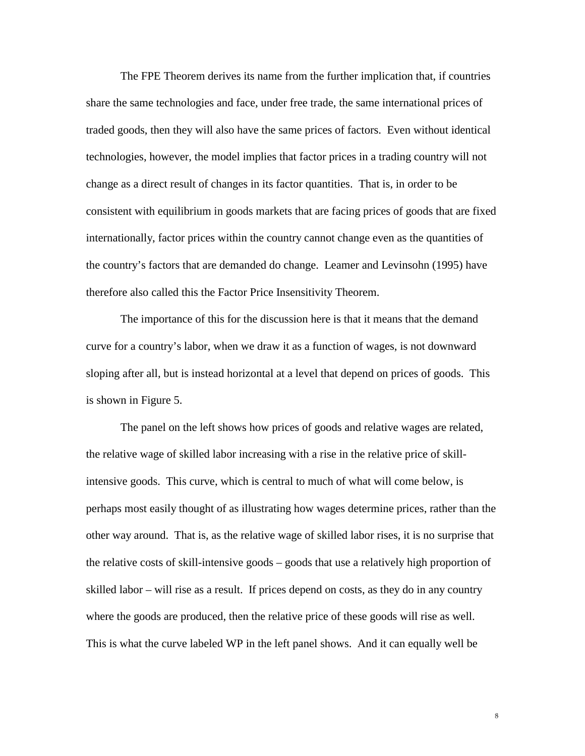The FPE Theorem derives its name from the further implication that, if countries share the same technologies and face, under free trade, the same international prices of traded goods, then they will also have the same prices of factors. Even without identical technologies, however, the model implies that factor prices in a trading country will not change as a direct result of changes in its factor quantities. That is, in order to be consistent with equilibrium in goods markets that are facing prices of goods that are fixed internationally, factor prices within the country cannot change even as the quantities of the country's factors that are demanded do change. Leamer and Levinsohn (1995) have therefore also called this the Factor Price Insensitivity Theorem.

The importance of this for the discussion here is that it means that the demand curve for a country's labor, when we draw it as a function of wages, is not downward sloping after all, but is instead horizontal at a level that depend on prices of goods. This is shown in Figure 5.

The panel on the left shows how prices of goods and relative wages are related, the relative wage of skilled labor increasing with a rise in the relative price of skillintensive goods. This curve, which is central to much of what will come below, is perhaps most easily thought of as illustrating how wages determine prices, rather than the other way around. That is, as the relative wage of skilled labor rises, it is no surprise that the relative costs of skill-intensive goods – goods that use a relatively high proportion of skilled labor – will rise as a result. If prices depend on costs, as they do in any country where the goods are produced, then the relative price of these goods will rise as well. This is what the curve labeled WP in the left panel shows. And it can equally well be

8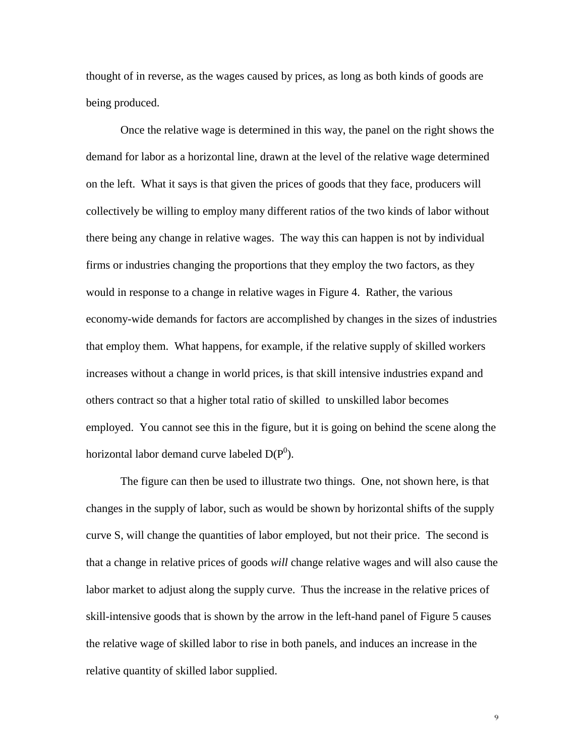thought of in reverse, as the wages caused by prices, as long as both kinds of goods are being produced.

Once the relative wage is determined in this way, the panel on the right shows the demand for labor as a horizontal line, drawn at the level of the relative wage determined on the left. What it says is that given the prices of goods that they face, producers will collectively be willing to employ many different ratios of the two kinds of labor without there being any change in relative wages. The way this can happen is not by individual firms or industries changing the proportions that they employ the two factors, as they would in response to a change in relative wages in Figure 4. Rather, the various economy-wide demands for factors are accomplished by changes in the sizes of industries that employ them. What happens, for example, if the relative supply of skilled workers increases without a change in world prices, is that skill intensive industries expand and others contract so that a higher total ratio of skilled to unskilled labor becomes employed. You cannot see this in the figure, but it is going on behind the scene along the horizontal labor demand curve labeled  $D(P^0)$ .

The figure can then be used to illustrate two things. One, not shown here, is that changes in the supply of labor, such as would be shown by horizontal shifts of the supply curve S, will change the quantities of labor employed, but not their price. The second is that a change in relative prices of goods *will* change relative wages and will also cause the labor market to adjust along the supply curve. Thus the increase in the relative prices of skill-intensive goods that is shown by the arrow in the left-hand panel of Figure 5 causes the relative wage of skilled labor to rise in both panels, and induces an increase in the relative quantity of skilled labor supplied.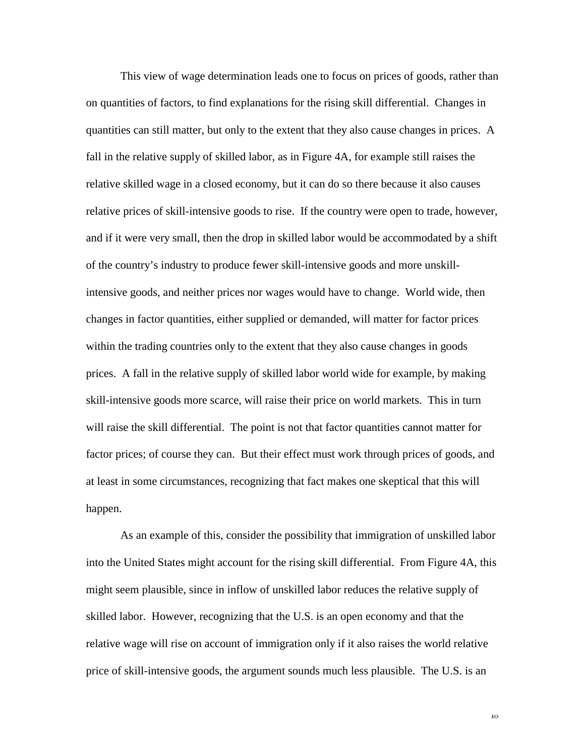This view of wage determination leads one to focus on prices of goods, rather than on quantities of factors, to find explanations for the rising skill differential. Changes in quantities can still matter, but only to the extent that they also cause changes in prices. A fall in the relative supply of skilled labor, as in Figure 4A, for example still raises the relative skilled wage in a closed economy, but it can do so there because it also causes relative prices of skill-intensive goods to rise. If the country were open to trade, however, and if it were very small, then the drop in skilled labor would be accommodated by a shift of the country's industry to produce fewer skill-intensive goods and more unskillintensive goods, and neither prices nor wages would have to change. World wide, then changes in factor quantities, either supplied or demanded, will matter for factor prices within the trading countries only to the extent that they also cause changes in goods prices. A fall in the relative supply of skilled labor world wide for example, by making skill-intensive goods more scarce, will raise their price on world markets. This in turn will raise the skill differential. The point is not that factor quantities cannot matter for factor prices; of course they can. But their effect must work through prices of goods, and at least in some circumstances, recognizing that fact makes one skeptical that this will happen.

As an example of this, consider the possibility that immigration of unskilled labor into the United States might account for the rising skill differential. From Figure 4A, this might seem plausible, since in inflow of unskilled labor reduces the relative supply of skilled labor. However, recognizing that the U.S. is an open economy and that the relative wage will rise on account of immigration only if it also raises the world relative price of skill-intensive goods, the argument sounds much less plausible. The U.S. is an

 $10$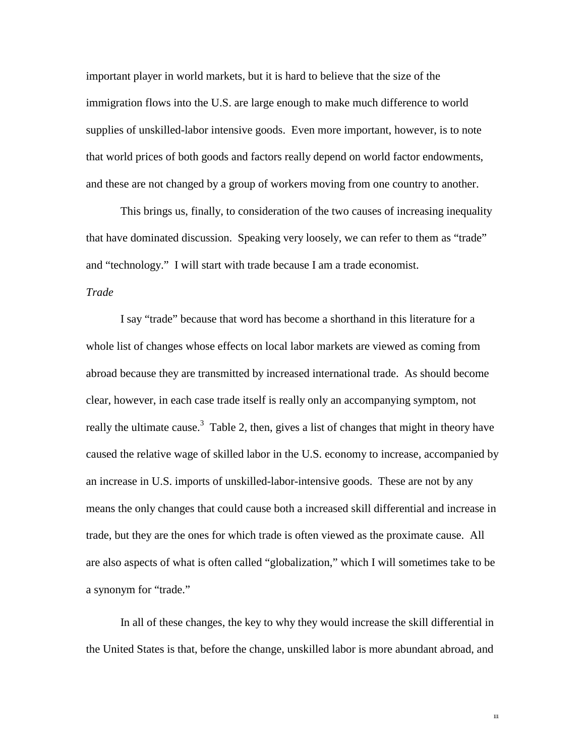important player in world markets, but it is hard to believe that the size of the immigration flows into the U.S. are large enough to make much difference to world supplies of unskilled-labor intensive goods. Even more important, however, is to note that world prices of both goods and factors really depend on world factor endowments, and these are not changed by a group of workers moving from one country to another.

This brings us, finally, to consideration of the two causes of increasing inequality that have dominated discussion. Speaking very loosely, we can refer to them as "trade" and "technology." I will start with trade because I am a trade economist. *Trade*

I say "trade" because that word has become a shorthand in this literature for a whole list of changes whose effects on local labor markets are viewed as coming from abroad because they are transmitted by increased international trade. As should become clear, however, in each case trade itself is really only an accompanying symptom, not really the ultimate cause.<sup>3</sup> Table 2, then, gives a list of changes that might in theory have caused the relative wage of skilled labor in the U.S. economy to increase, accompanied by an increase in U.S. imports of unskilled-labor-intensive goods. These are not by any means the only changes that could cause both a increased skill differential and increase in trade, but they are the ones for which trade is often viewed as the proximate cause. All are also aspects of what is often called "globalization," which I will sometimes take to be a synonym for "trade."

In all of these changes, the key to why they would increase the skill differential in the United States is that, before the change, unskilled labor is more abundant abroad, and

 $111$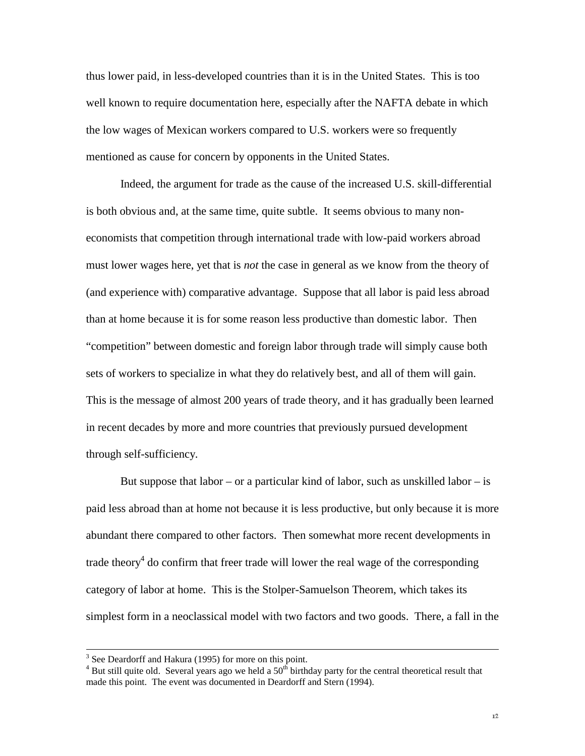thus lower paid, in less-developed countries than it is in the United States. This is too well known to require documentation here, especially after the NAFTA debate in which the low wages of Mexican workers compared to U.S. workers were so frequently mentioned as cause for concern by opponents in the United States.

Indeed, the argument for trade as the cause of the increased U.S. skill-differential is both obvious and, at the same time, quite subtle. It seems obvious to many noneconomists that competition through international trade with low-paid workers abroad must lower wages here, yet that is *not* the case in general as we know from the theory of (and experience with) comparative advantage. Suppose that all labor is paid less abroad than at home because it is for some reason less productive than domestic labor. Then "competition" between domestic and foreign labor through trade will simply cause both sets of workers to specialize in what they do relatively best, and all of them will gain. This is the message of almost 200 years of trade theory, and it has gradually been learned in recent decades by more and more countries that previously pursued development through self-sufficiency.

But suppose that labor – or a particular kind of labor, such as unskilled labor – is paid less abroad than at home not because it is less productive, but only because it is more abundant there compared to other factors. Then somewhat more recent developments in trade theory $4$  do confirm that freer trade will lower the real wage of the corresponding category of labor at home. This is the Stolper-Samuelson Theorem, which takes its simplest form in a neoclassical model with two factors and two goods. There, a fall in the

 <sup>3</sup>  $3$  See Deardorff and Hakura (1995) for more on this point.

 $4$  But still quite old. Several years ago we held a  $50<sup>th</sup>$  birthday party for the central theoretical result that made this point. The event was documented in Deardorff and Stern (1994).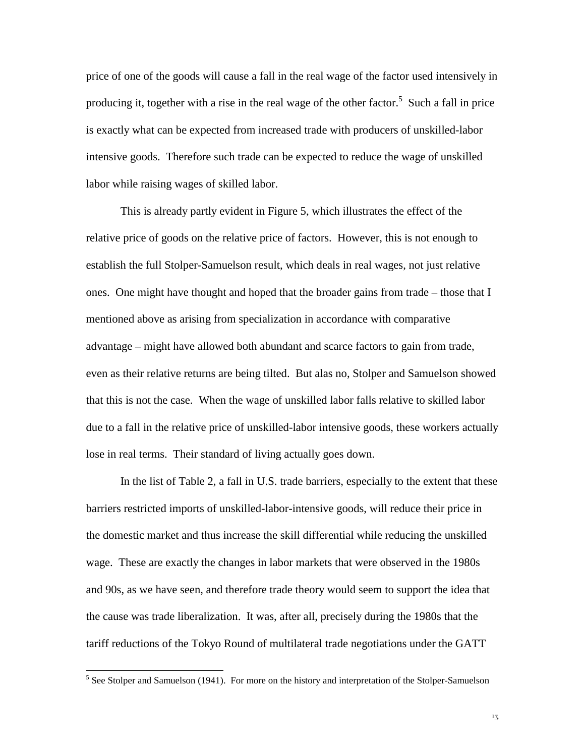price of one of the goods will cause a fall in the real wage of the factor used intensively in producing it, together with a rise in the real wage of the other factor.<sup>5</sup> Such a fall in price is exactly what can be expected from increased trade with producers of unskilled-labor intensive goods. Therefore such trade can be expected to reduce the wage of unskilled labor while raising wages of skilled labor.

This is already partly evident in Figure 5, which illustrates the effect of the relative price of goods on the relative price of factors. However, this is not enough to establish the full Stolper-Samuelson result, which deals in real wages, not just relative ones. One might have thought and hoped that the broader gains from trade – those that I mentioned above as arising from specialization in accordance with comparative advantage – might have allowed both abundant and scarce factors to gain from trade, even as their relative returns are being tilted. But alas no, Stolper and Samuelson showed that this is not the case. When the wage of unskilled labor falls relative to skilled labor due to a fall in the relative price of unskilled-labor intensive goods, these workers actually lose in real terms. Their standard of living actually goes down.

In the list of Table 2, a fall in U.S. trade barriers, especially to the extent that these barriers restricted imports of unskilled-labor-intensive goods, will reduce their price in the domestic market and thus increase the skill differential while reducing the unskilled wage. These are exactly the changes in labor markets that were observed in the 1980s and 90s, as we have seen, and therefore trade theory would seem to support the idea that the cause was trade liberalization. It was, after all, precisely during the 1980s that the tariff reductions of the Tokyo Round of multilateral trade negotiations under the GATT

<sup>&</sup>lt;sup>5</sup> See Stolper and Samuelson (1941). For more on the history and interpretation of the Stolper-Samuelson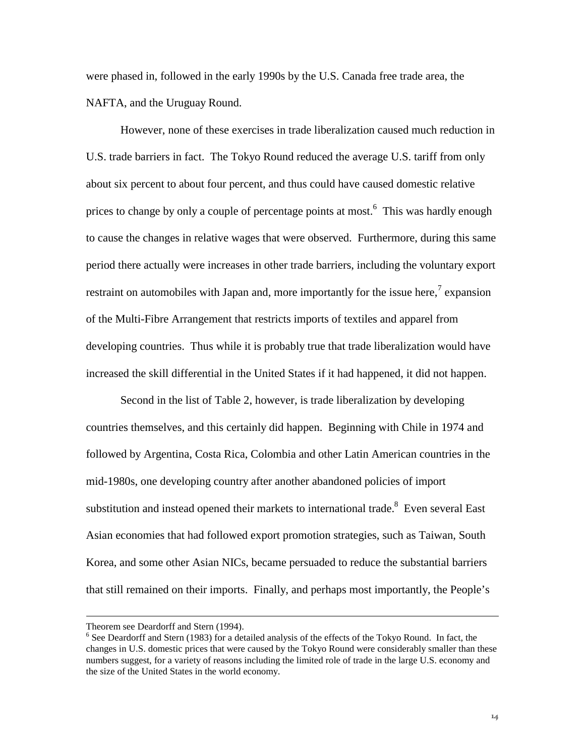were phased in, followed in the early 1990s by the U.S. Canada free trade area, the NAFTA, and the Uruguay Round.

However, none of these exercises in trade liberalization caused much reduction in U.S. trade barriers in fact. The Tokyo Round reduced the average U.S. tariff from only about six percent to about four percent, and thus could have caused domestic relative prices to change by only a couple of percentage points at most.<sup>6</sup> This was hardly enough to cause the changes in relative wages that were observed. Furthermore, during this same period there actually were increases in other trade barriers, including the voluntary export restraint on automobiles with Japan and, more importantly for the issue here,<sup>7</sup> expansion of the Multi-Fibre Arrangement that restricts imports of textiles and apparel from developing countries. Thus while it is probably true that trade liberalization would have increased the skill differential in the United States if it had happened, it did not happen.

Second in the list of Table 2, however, is trade liberalization by developing countries themselves, and this certainly did happen. Beginning with Chile in 1974 and followed by Argentina, Costa Rica, Colombia and other Latin American countries in the mid-1980s, one developing country after another abandoned policies of import substitution and instead opened their markets to international trade.<sup>8</sup> Even several East Asian economies that had followed export promotion strategies, such as Taiwan, South Korea, and some other Asian NICs, became persuaded to reduce the substantial barriers that still remained on their imports. Finally, and perhaps most importantly, the People's

Theorem see Deardorff and Stern (1994).

<sup>&</sup>lt;sup>6</sup> See Deardorff and Stern (1983) for a detailed analysis of the effects of the Tokyo Round. In fact, the changes in U.S. domestic prices that were caused by the Tokyo Round were considerably smaller than these numbers suggest, for a variety of reasons including the limited role of trade in the large U.S. economy and the size of the United States in the world economy.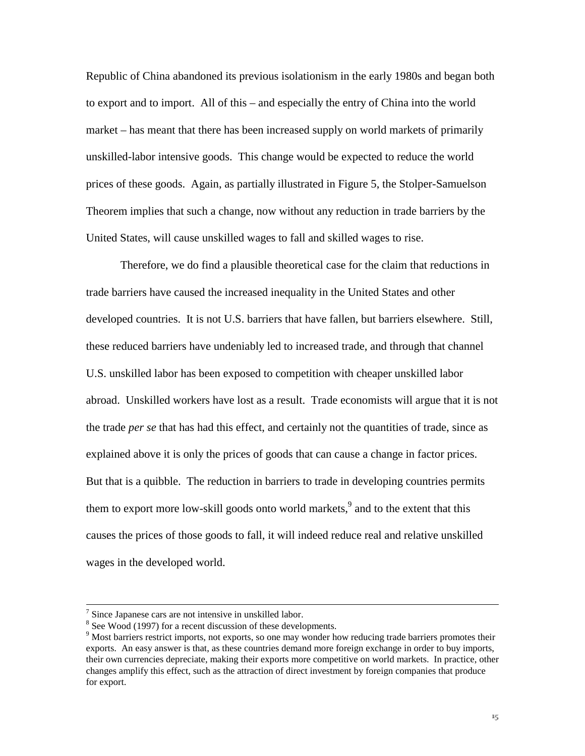Republic of China abandoned its previous isolationism in the early 1980s and began both to export and to import. All of this – and especially the entry of China into the world market – has meant that there has been increased supply on world markets of primarily unskilled-labor intensive goods. This change would be expected to reduce the world prices of these goods. Again, as partially illustrated in Figure 5, the Stolper-Samuelson Theorem implies that such a change, now without any reduction in trade barriers by the United States, will cause unskilled wages to fall and skilled wages to rise.

Therefore, we do find a plausible theoretical case for the claim that reductions in trade barriers have caused the increased inequality in the United States and other developed countries. It is not U.S. barriers that have fallen, but barriers elsewhere. Still, these reduced barriers have undeniably led to increased trade, and through that channel U.S. unskilled labor has been exposed to competition with cheaper unskilled labor abroad. Unskilled workers have lost as a result. Trade economists will argue that it is not the trade *per se* that has had this effect, and certainly not the quantities of trade, since as explained above it is only the prices of goods that can cause a change in factor prices. But that is a quibble. The reduction in barriers to trade in developing countries permits them to export more low-skill goods onto world markets, $9$  and to the extent that this causes the prices of those goods to fall, it will indeed reduce real and relative unskilled wages in the developed world.

<sup>-&</sup>lt;br>7  $\frac{7}{1}$  Since Japanese cars are not intensive in unskilled labor.

<sup>&</sup>lt;sup>8</sup> See Wood (1997) for a recent discussion of these developments.

<sup>&</sup>lt;sup>9</sup> Most barriers restrict imports, not exports, so one may wonder how reducing trade barriers promotes their exports. An easy answer is that, as these countries demand more foreign exchange in order to buy imports, their own currencies depreciate, making their exports more competitive on world markets. In practice, other changes amplify this effect, such as the attraction of direct investment by foreign companies that produce for export.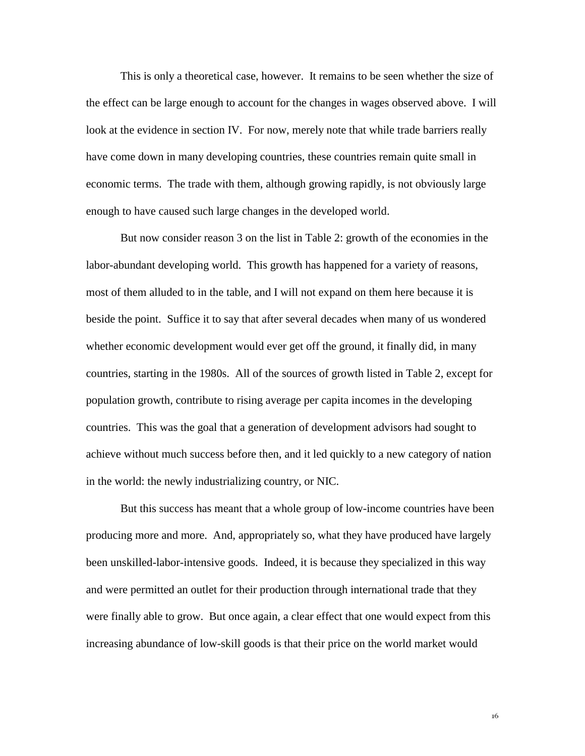This is only a theoretical case, however. It remains to be seen whether the size of the effect can be large enough to account for the changes in wages observed above. I will look at the evidence in section IV. For now, merely note that while trade barriers really have come down in many developing countries, these countries remain quite small in economic terms. The trade with them, although growing rapidly, is not obviously large enough to have caused such large changes in the developed world.

But now consider reason 3 on the list in Table 2: growth of the economies in the labor-abundant developing world. This growth has happened for a variety of reasons, most of them alluded to in the table, and I will not expand on them here because it is beside the point. Suffice it to say that after several decades when many of us wondered whether economic development would ever get off the ground, it finally did, in many countries, starting in the 1980s. All of the sources of growth listed in Table 2, except for population growth, contribute to rising average per capita incomes in the developing countries. This was the goal that a generation of development advisors had sought to achieve without much success before then, and it led quickly to a new category of nation in the world: the newly industrializing country, or NIC.

But this success has meant that a whole group of low-income countries have been producing more and more. And, appropriately so, what they have produced have largely been unskilled-labor-intensive goods. Indeed, it is because they specialized in this way and were permitted an outlet for their production through international trade that they were finally able to grow. But once again, a clear effect that one would expect from this increasing abundance of low-skill goods is that their price on the world market would

16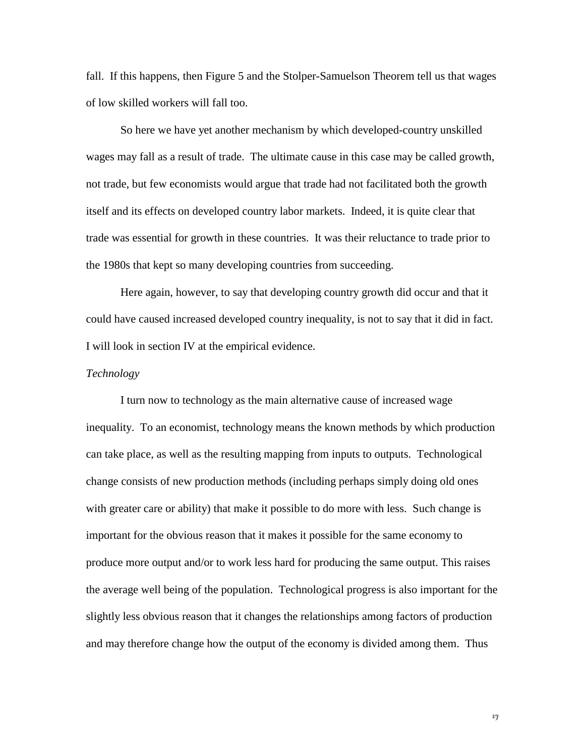fall. If this happens, then Figure 5 and the Stolper-Samuelson Theorem tell us that wages of low skilled workers will fall too.

So here we have yet another mechanism by which developed-country unskilled wages may fall as a result of trade. The ultimate cause in this case may be called growth, not trade, but few economists would argue that trade had not facilitated both the growth itself and its effects on developed country labor markets. Indeed, it is quite clear that trade was essential for growth in these countries. It was their reluctance to trade prior to the 1980s that kept so many developing countries from succeeding.

Here again, however, to say that developing country growth did occur and that it could have caused increased developed country inequality, is not to say that it did in fact. I will look in section IV at the empirical evidence.

#### *Technology*

I turn now to technology as the main alternative cause of increased wage inequality. To an economist, technology means the known methods by which production can take place, as well as the resulting mapping from inputs to outputs. Technological change consists of new production methods (including perhaps simply doing old ones with greater care or ability) that make it possible to do more with less. Such change is important for the obvious reason that it makes it possible for the same economy to produce more output and/or to work less hard for producing the same output. This raises the average well being of the population. Technological progress is also important for the slightly less obvious reason that it changes the relationships among factors of production and may therefore change how the output of the economy is divided among them. Thus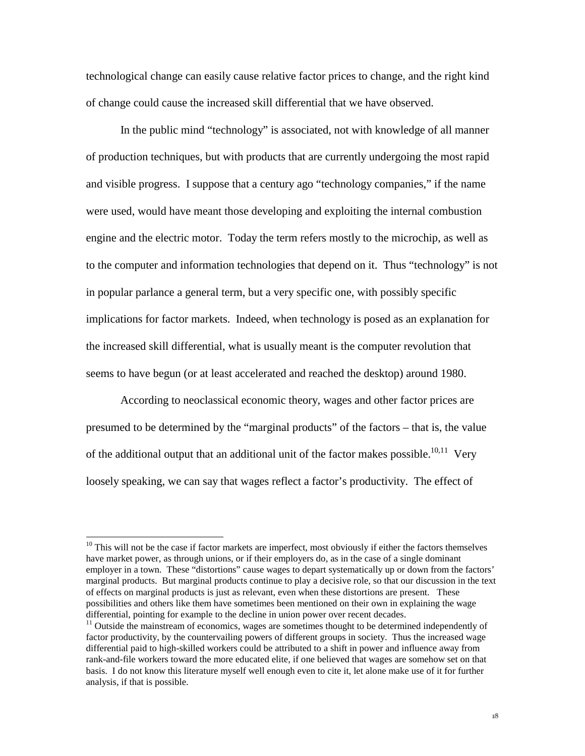technological change can easily cause relative factor prices to change, and the right kind of change could cause the increased skill differential that we have observed.

In the public mind "technology" is associated, not with knowledge of all manner of production techniques, but with products that are currently undergoing the most rapid and visible progress. I suppose that a century ago "technology companies," if the name were used, would have meant those developing and exploiting the internal combustion engine and the electric motor. Today the term refers mostly to the microchip, as well as to the computer and information technologies that depend on it. Thus "technology" is not in popular parlance a general term, but a very specific one, with possibly specific implications for factor markets. Indeed, when technology is posed as an explanation for the increased skill differential, what is usually meant is the computer revolution that seems to have begun (or at least accelerated and reached the desktop) around 1980.

According to neoclassical economic theory, wages and other factor prices are presumed to be determined by the "marginal products" of the factors – that is, the value of the additional output that an additional unit of the factor makes possible.<sup>10,11</sup> Very loosely speaking, we can say that wages reflect a factor's productivity. The effect of

 $10$  This will not be the case if factor markets are imperfect, most obviously if either the factors themselves have market power, as through unions, or if their employers do, as in the case of a single dominant employer in a town. These "distortions" cause wages to depart systematically up or down from the factors' marginal products. But marginal products continue to play a decisive role, so that our discussion in the text of effects on marginal products is just as relevant, even when these distortions are present. These possibilities and others like them have sometimes been mentioned on their own in explaining the wage differential, pointing for example to the decline in union power over recent decades.

 $11$  Outside the mainstream of economics, wages are sometimes thought to be determined independently of factor productivity, by the countervailing powers of different groups in society. Thus the increased wage differential paid to high-skilled workers could be attributed to a shift in power and influence away from rank-and-file workers toward the more educated elite, if one believed that wages are somehow set on that basis. I do not know this literature myself well enough even to cite it, let alone make use of it for further analysis, if that is possible.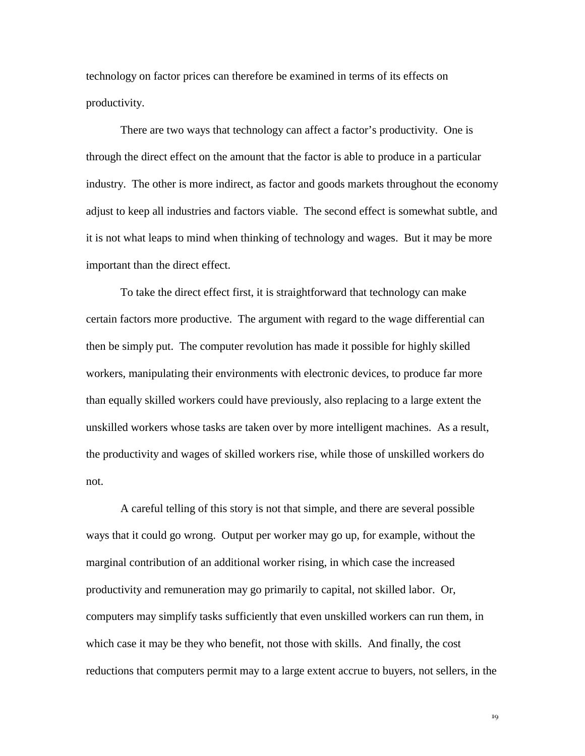technology on factor prices can therefore be examined in terms of its effects on productivity.

There are two ways that technology can affect a factor's productivity. One is through the direct effect on the amount that the factor is able to produce in a particular industry. The other is more indirect, as factor and goods markets throughout the economy adjust to keep all industries and factors viable. The second effect is somewhat subtle, and it is not what leaps to mind when thinking of technology and wages. But it may be more important than the direct effect.

To take the direct effect first, it is straightforward that technology can make certain factors more productive. The argument with regard to the wage differential can then be simply put. The computer revolution has made it possible for highly skilled workers, manipulating their environments with electronic devices, to produce far more than equally skilled workers could have previously, also replacing to a large extent the unskilled workers whose tasks are taken over by more intelligent machines. As a result, the productivity and wages of skilled workers rise, while those of unskilled workers do not.

A careful telling of this story is not that simple, and there are several possible ways that it could go wrong. Output per worker may go up, for example, without the marginal contribution of an additional worker rising, in which case the increased productivity and remuneration may go primarily to capital, not skilled labor. Or, computers may simplify tasks sufficiently that even unskilled workers can run them, in which case it may be they who benefit, not those with skills. And finally, the cost reductions that computers permit may to a large extent accrue to buyers, not sellers, in the

 $19$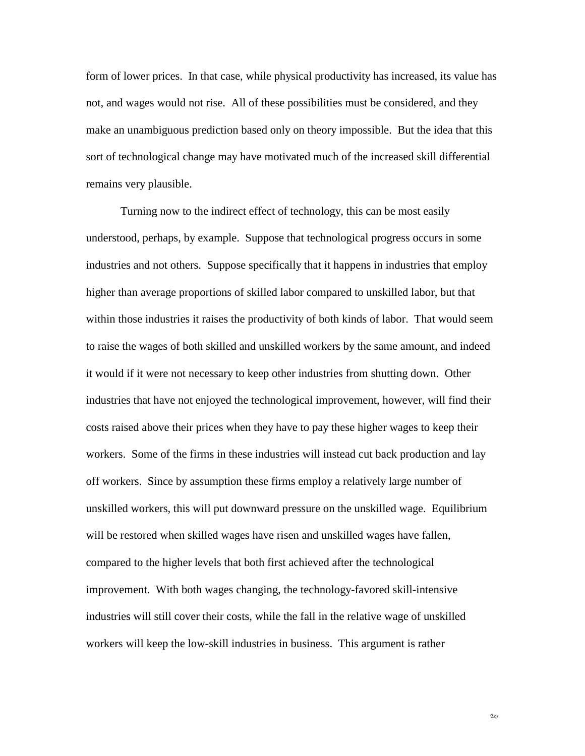form of lower prices. In that case, while physical productivity has increased, its value has not, and wages would not rise. All of these possibilities must be considered, and they make an unambiguous prediction based only on theory impossible. But the idea that this sort of technological change may have motivated much of the increased skill differential remains very plausible.

Turning now to the indirect effect of technology, this can be most easily understood, perhaps, by example. Suppose that technological progress occurs in some industries and not others. Suppose specifically that it happens in industries that employ higher than average proportions of skilled labor compared to unskilled labor, but that within those industries it raises the productivity of both kinds of labor. That would seem to raise the wages of both skilled and unskilled workers by the same amount, and indeed it would if it were not necessary to keep other industries from shutting down. Other industries that have not enjoyed the technological improvement, however, will find their costs raised above their prices when they have to pay these higher wages to keep their workers. Some of the firms in these industries will instead cut back production and lay off workers. Since by assumption these firms employ a relatively large number of unskilled workers, this will put downward pressure on the unskilled wage. Equilibrium will be restored when skilled wages have risen and unskilled wages have fallen, compared to the higher levels that both first achieved after the technological improvement. With both wages changing, the technology-favored skill-intensive industries will still cover their costs, while the fall in the relative wage of unskilled workers will keep the low-skill industries in business. This argument is rather

 $20$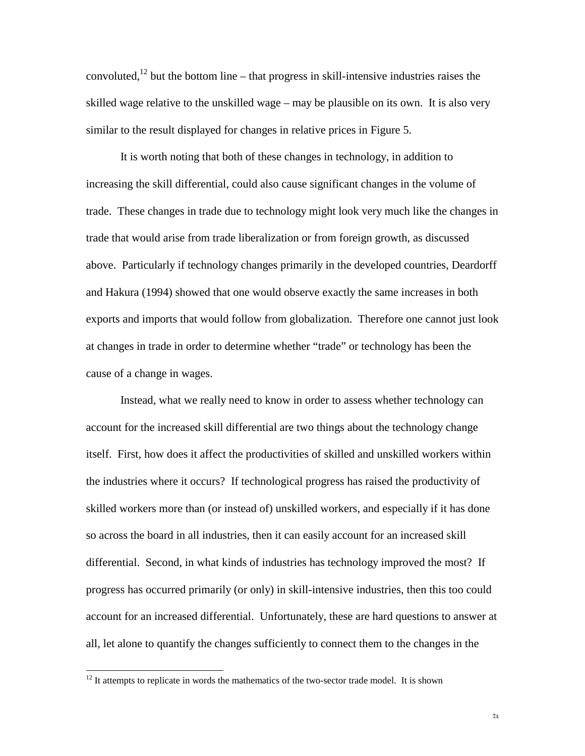convoluted,<sup>12</sup> but the bottom line – that progress in skill-intensive industries raises the skilled wage relative to the unskilled wage – may be plausible on its own. It is also very similar to the result displayed for changes in relative prices in Figure 5.

It is worth noting that both of these changes in technology, in addition to increasing the skill differential, could also cause significant changes in the volume of trade. These changes in trade due to technology might look very much like the changes in trade that would arise from trade liberalization or from foreign growth, as discussed above. Particularly if technology changes primarily in the developed countries, Deardorff and Hakura (1994) showed that one would observe exactly the same increases in both exports and imports that would follow from globalization. Therefore one cannot just look at changes in trade in order to determine whether "trade" or technology has been the cause of a change in wages.

Instead, what we really need to know in order to assess whether technology can account for the increased skill differential are two things about the technology change itself. First, how does it affect the productivities of skilled and unskilled workers within the industries where it occurs? If technological progress has raised the productivity of skilled workers more than (or instead of) unskilled workers, and especially if it has done so across the board in all industries, then it can easily account for an increased skill differential. Second, in what kinds of industries has technology improved the most? If progress has occurred primarily (or only) in skill-intensive industries, then this too could account for an increased differential. Unfortunately, these are hard questions to answer at all, let alone to quantify the changes sufficiently to connect them to the changes in the

 $12$  It attempts to replicate in words the mathematics of the two-sector trade model. It is shown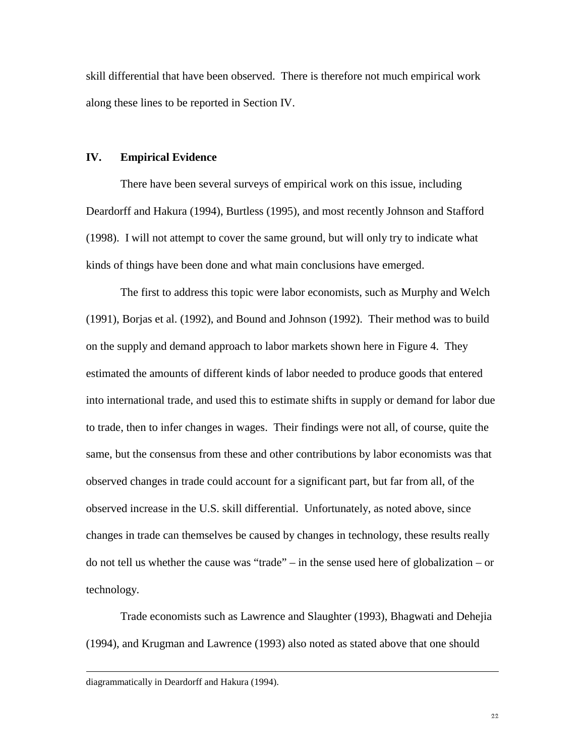skill differential that have been observed. There is therefore not much empirical work along these lines to be reported in Section IV.

#### **IV. Empirical Evidence**

There have been several surveys of empirical work on this issue, including Deardorff and Hakura (1994), Burtless (1995), and most recently Johnson and Stafford (1998). I will not attempt to cover the same ground, but will only try to indicate what kinds of things have been done and what main conclusions have emerged.

The first to address this topic were labor economists, such as Murphy and Welch (1991), Borjas et al. (1992), and Bound and Johnson (1992). Their method was to build on the supply and demand approach to labor markets shown here in Figure 4. They estimated the amounts of different kinds of labor needed to produce goods that entered into international trade, and used this to estimate shifts in supply or demand for labor due to trade, then to infer changes in wages. Their findings were not all, of course, quite the same, but the consensus from these and other contributions by labor economists was that observed changes in trade could account for a significant part, but far from all, of the observed increase in the U.S. skill differential. Unfortunately, as noted above, since changes in trade can themselves be caused by changes in technology, these results really do not tell us whether the cause was "trade" – in the sense used here of globalization – or technology.

Trade economists such as Lawrence and Slaughter (1993), Bhagwati and Dehejia (1994), and Krugman and Lawrence (1993) also noted as stated above that one should

diagrammatically in Deardorff and Hakura (1994).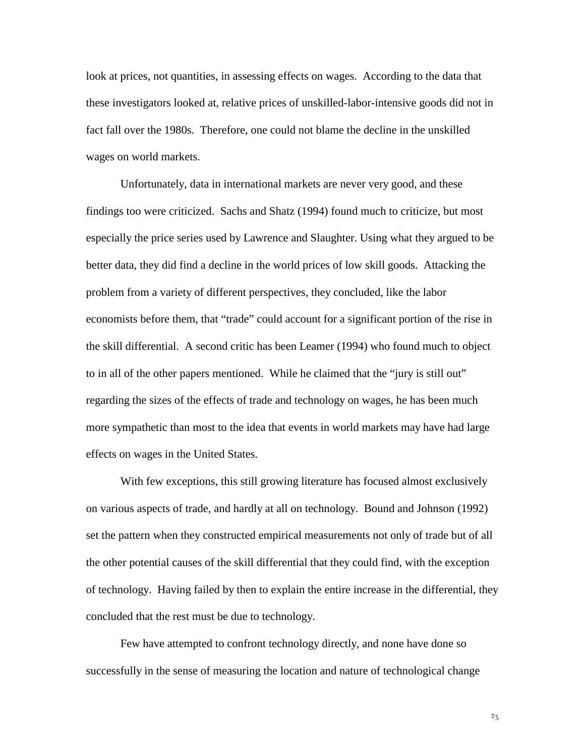look at prices, not quantities, in assessing effects on wages. According to the data that these investigators looked at, relative prices of unskilled-labor-intensive goods did not in fact fall over the 1980s. Therefore, one could not blame the decline in the unskilled wages on world markets.

Unfortunately, data in international markets are never very good, and these findings too were criticized. Sachs and Shatz (1994) found much to criticize, but most especially the price series used by Lawrence and Slaughter. Using what they argued to be better data, they did find a decline in the world prices of low skill goods. Attacking the problem from a variety of different perspectives, they concluded, like the labor economists before them, that "trade" could account for a significant portion of the rise in the skill differential. A second critic has been Leamer (1994) who found much to object to in all of the other papers mentioned. While he claimed that the "jury is still out" regarding the sizes of the effects of trade and technology on wages, he has been much more sympathetic than most to the idea that events in world markets may have had large effects on wages in the United States.

With few exceptions, this still growing literature has focused almost exclusively on various aspects of trade, and hardly at all on technology. Bound and Johnson (1992) set the pattern when they constructed empirical measurements not only of trade but of all the other potential causes of the skill differential that they could find, with the exception of technology. Having failed by then to explain the entire increase in the differential, they concluded that the rest must be due to technology.

Few have attempted to confront technology directly, and none have done so successfully in the sense of measuring the location and nature of technological change

 $2_{\overline{3}}$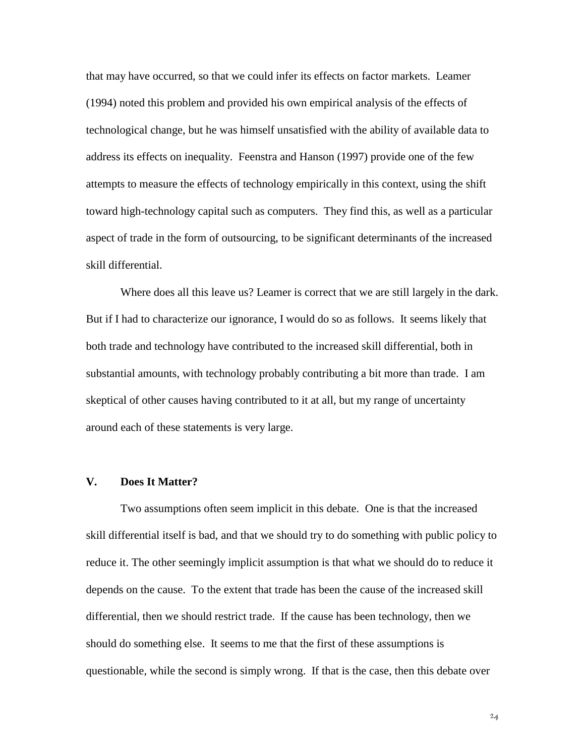that may have occurred, so that we could infer its effects on factor markets. Leamer (1994) noted this problem and provided his own empirical analysis of the effects of technological change, but he was himself unsatisfied with the ability of available data to address its effects on inequality. Feenstra and Hanson (1997) provide one of the few attempts to measure the effects of technology empirically in this context, using the shift toward high-technology capital such as computers. They find this, as well as a particular aspect of trade in the form of outsourcing, to be significant determinants of the increased skill differential.

Where does all this leave us? Leamer is correct that we are still largely in the dark. But if I had to characterize our ignorance, I would do so as follows. It seems likely that both trade and technology have contributed to the increased skill differential, both in substantial amounts, with technology probably contributing a bit more than trade. I am skeptical of other causes having contributed to it at all, but my range of uncertainty around each of these statements is very large.

#### **V. Does It Matter?**

Two assumptions often seem implicit in this debate. One is that the increased skill differential itself is bad, and that we should try to do something with public policy to reduce it. The other seemingly implicit assumption is that what we should do to reduce it depends on the cause. To the extent that trade has been the cause of the increased skill differential, then we should restrict trade. If the cause has been technology, then we should do something else. It seems to me that the first of these assumptions is questionable, while the second is simply wrong. If that is the case, then this debate over

 $24$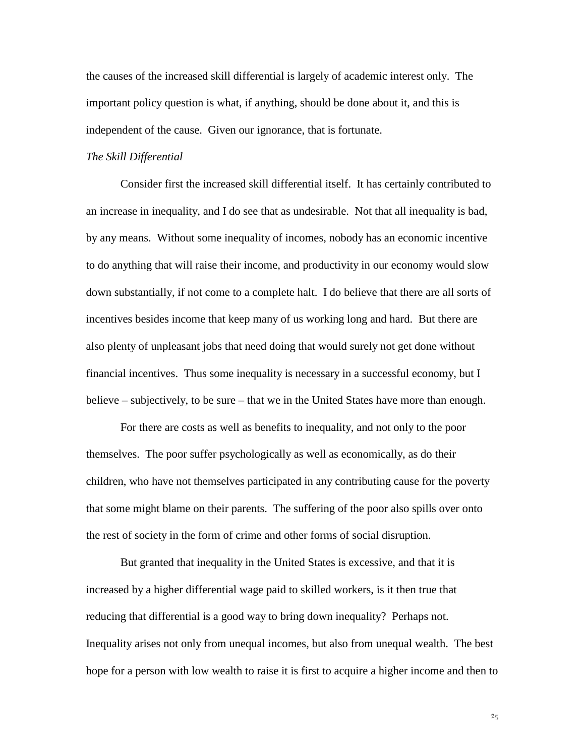the causes of the increased skill differential is largely of academic interest only. The important policy question is what, if anything, should be done about it, and this is independent of the cause. Given our ignorance, that is fortunate.

#### *The Skill Differential*

Consider first the increased skill differential itself. It has certainly contributed to an increase in inequality, and I do see that as undesirable. Not that all inequality is bad, by any means. Without some inequality of incomes, nobody has an economic incentive to do anything that will raise their income, and productivity in our economy would slow down substantially, if not come to a complete halt. I do believe that there are all sorts of incentives besides income that keep many of us working long and hard. But there are also plenty of unpleasant jobs that need doing that would surely not get done without financial incentives. Thus some inequality is necessary in a successful economy, but I believe – subjectively, to be sure – that we in the United States have more than enough.

For there are costs as well as benefits to inequality, and not only to the poor themselves. The poor suffer psychologically as well as economically, as do their children, who have not themselves participated in any contributing cause for the poverty that some might blame on their parents. The suffering of the poor also spills over onto the rest of society in the form of crime and other forms of social disruption.

But granted that inequality in the United States is excessive, and that it is increased by a higher differential wage paid to skilled workers, is it then true that reducing that differential is a good way to bring down inequality? Perhaps not. Inequality arises not only from unequal incomes, but also from unequal wealth. The best hope for a person with low wealth to raise it is first to acquire a higher income and then to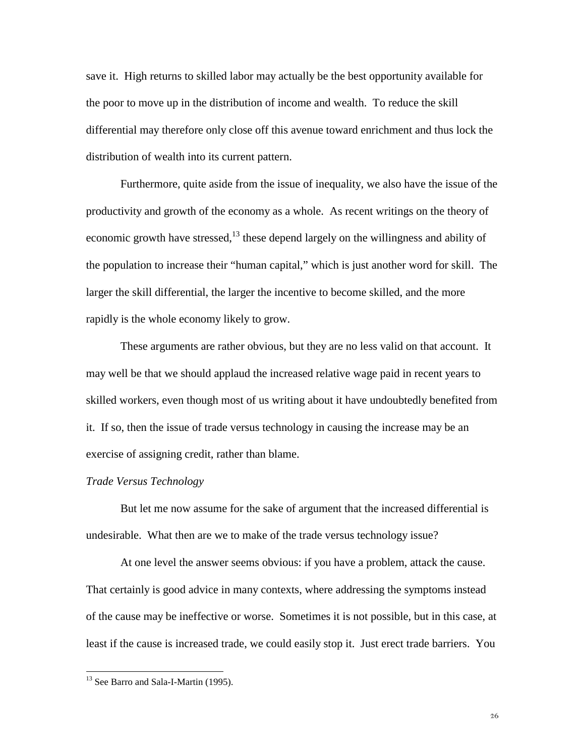save it. High returns to skilled labor may actually be the best opportunity available for the poor to move up in the distribution of income and wealth. To reduce the skill differential may therefore only close off this avenue toward enrichment and thus lock the distribution of wealth into its current pattern.

Furthermore, quite aside from the issue of inequality, we also have the issue of the productivity and growth of the economy as a whole. As recent writings on the theory of economic growth have stressed, $^{13}$  these depend largely on the willingness and ability of the population to increase their "human capital," which is just another word for skill. The larger the skill differential, the larger the incentive to become skilled, and the more rapidly is the whole economy likely to grow.

These arguments are rather obvious, but they are no less valid on that account. It may well be that we should applaud the increased relative wage paid in recent years to skilled workers, even though most of us writing about it have undoubtedly benefited from it. If so, then the issue of trade versus technology in causing the increase may be an exercise of assigning credit, rather than blame.

#### *Trade Versus Technology*

But let me now assume for the sake of argument that the increased differential is undesirable. What then are we to make of the trade versus technology issue?

At one level the answer seems obvious: if you have a problem, attack the cause. That certainly is good advice in many contexts, where addressing the symptoms instead of the cause may be ineffective or worse. Sometimes it is not possible, but in this case, at least if the cause is increased trade, we could easily stop it. Just erect trade barriers. You

<sup>&</sup>lt;sup>13</sup> See Barro and Sala-I-Martin (1995).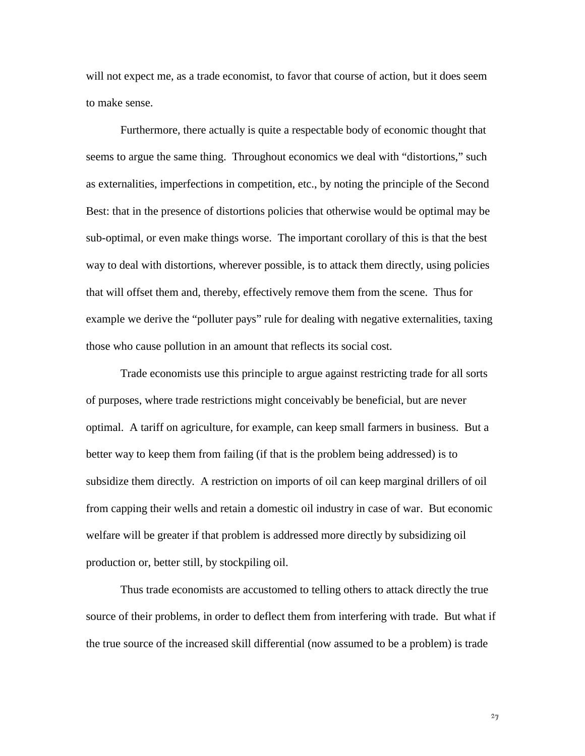will not expect me, as a trade economist, to favor that course of action, but it does seem to make sense.

Furthermore, there actually is quite a respectable body of economic thought that seems to argue the same thing. Throughout economics we deal with "distortions," such as externalities, imperfections in competition, etc., by noting the principle of the Second Best: that in the presence of distortions policies that otherwise would be optimal may be sub-optimal, or even make things worse. The important corollary of this is that the best way to deal with distortions, wherever possible, is to attack them directly, using policies that will offset them and, thereby, effectively remove them from the scene. Thus for example we derive the "polluter pays" rule for dealing with negative externalities, taxing those who cause pollution in an amount that reflects its social cost.

Trade economists use this principle to argue against restricting trade for all sorts of purposes, where trade restrictions might conceivably be beneficial, but are never optimal. A tariff on agriculture, for example, can keep small farmers in business. But a better way to keep them from failing (if that is the problem being addressed) is to subsidize them directly. A restriction on imports of oil can keep marginal drillers of oil from capping their wells and retain a domestic oil industry in case of war. But economic welfare will be greater if that problem is addressed more directly by subsidizing oil production or, better still, by stockpiling oil.

Thus trade economists are accustomed to telling others to attack directly the true source of their problems, in order to deflect them from interfering with trade. But what if the true source of the increased skill differential (now assumed to be a problem) is trade

 $2\gamma$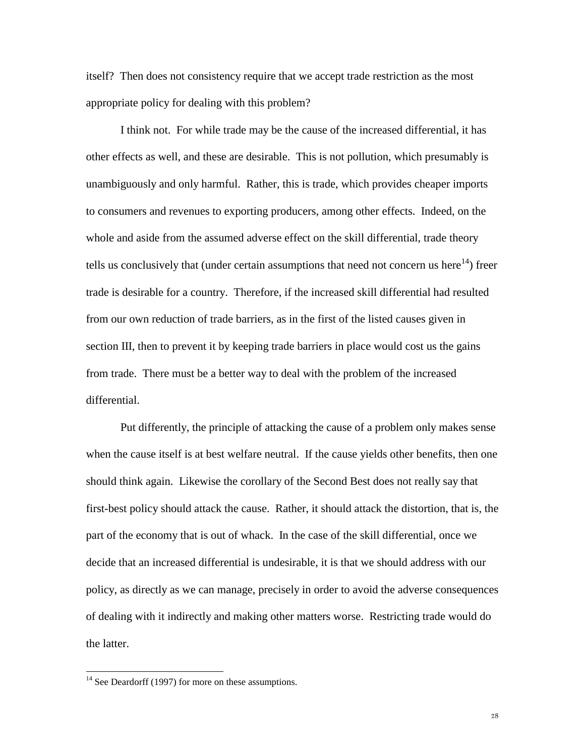itself? Then does not consistency require that we accept trade restriction as the most appropriate policy for dealing with this problem?

I think not. For while trade may be the cause of the increased differential, it has other effects as well, and these are desirable. This is not pollution, which presumably is unambiguously and only harmful. Rather, this is trade, which provides cheaper imports to consumers and revenues to exporting producers, among other effects. Indeed, on the whole and aside from the assumed adverse effect on the skill differential, trade theory tells us conclusively that (under certain assumptions that need not concern us here $^{14}$ ) freer trade is desirable for a country. Therefore, if the increased skill differential had resulted from our own reduction of trade barriers, as in the first of the listed causes given in section III, then to prevent it by keeping trade barriers in place would cost us the gains from trade. There must be a better way to deal with the problem of the increased differential.

Put differently, the principle of attacking the cause of a problem only makes sense when the cause itself is at best welfare neutral. If the cause yields other benefits, then one should think again. Likewise the corollary of the Second Best does not really say that first-best policy should attack the cause. Rather, it should attack the distortion, that is, the part of the economy that is out of whack. In the case of the skill differential, once we decide that an increased differential is undesirable, it is that we should address with our policy, as directly as we can manage, precisely in order to avoid the adverse consequences of dealing with it indirectly and making other matters worse. Restricting trade would do the latter.

<sup>&</sup>lt;sup>14</sup> See Deardorff (1997) for more on these assumptions.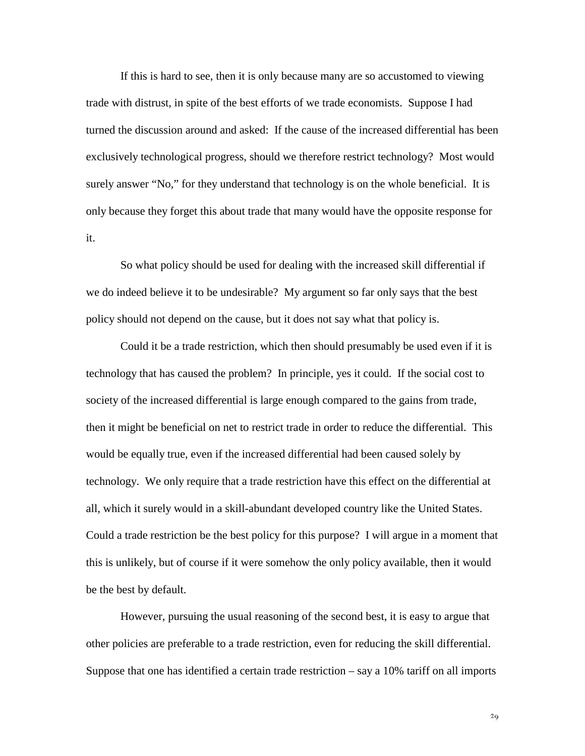If this is hard to see, then it is only because many are so accustomed to viewing trade with distrust, in spite of the best efforts of we trade economists. Suppose I had turned the discussion around and asked: If the cause of the increased differential has been exclusively technological progress, should we therefore restrict technology? Most would surely answer "No," for they understand that technology is on the whole beneficial. It is only because they forget this about trade that many would have the opposite response for it.

So what policy should be used for dealing with the increased skill differential if we do indeed believe it to be undesirable? My argument so far only says that the best policy should not depend on the cause, but it does not say what that policy is.

Could it be a trade restriction, which then should presumably be used even if it is technology that has caused the problem? In principle, yes it could. If the social cost to society of the increased differential is large enough compared to the gains from trade, then it might be beneficial on net to restrict trade in order to reduce the differential. This would be equally true, even if the increased differential had been caused solely by technology. We only require that a trade restriction have this effect on the differential at all, which it surely would in a skill-abundant developed country like the United States. Could a trade restriction be the best policy for this purpose? I will argue in a moment that this is unlikely, but of course if it were somehow the only policy available, then it would be the best by default.

However, pursuing the usual reasoning of the second best, it is easy to argue that other policies are preferable to a trade restriction, even for reducing the skill differential. Suppose that one has identified a certain trade restriction – say a 10% tariff on all imports

 $2q$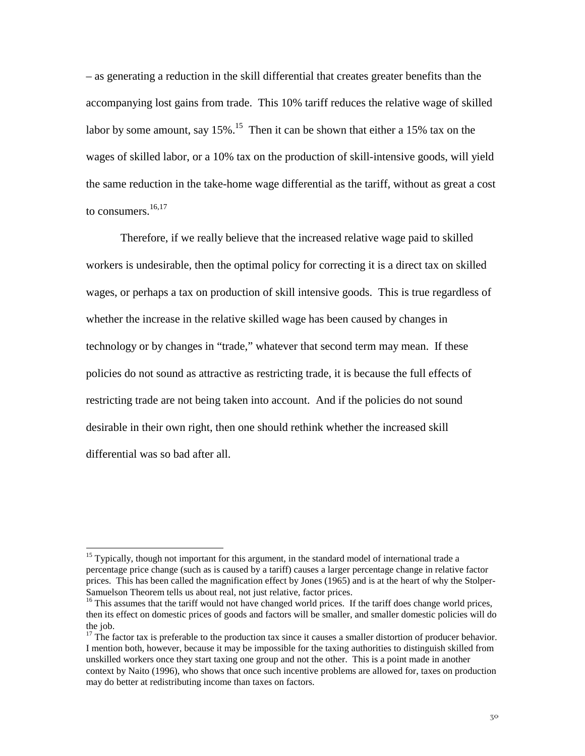– as generating a reduction in the skill differential that creates greater benefits than the accompanying lost gains from trade. This 10% tariff reduces the relative wage of skilled labor by some amount, say  $15\%$ .<sup>15</sup> Then it can be shown that either a 15% tax on the wages of skilled labor, or a 10% tax on the production of skill-intensive goods, will yield the same reduction in the take-home wage differential as the tariff, without as great a cost to consumers.<sup>16,17</sup>

Therefore, if we really believe that the increased relative wage paid to skilled workers is undesirable, then the optimal policy for correcting it is a direct tax on skilled wages, or perhaps a tax on production of skill intensive goods. This is true regardless of whether the increase in the relative skilled wage has been caused by changes in technology or by changes in "trade," whatever that second term may mean. If these policies do not sound as attractive as restricting trade, it is because the full effects of restricting trade are not being taken into account. And if the policies do not sound desirable in their own right, then one should rethink whether the increased skill differential was so bad after all.

<sup>&</sup>lt;sup>15</sup> Typically, though not important for this argument, in the standard model of international trade a percentage price change (such as is caused by a tariff) causes a larger percentage change in relative factor prices. This has been called the magnification effect by Jones (1965) and is at the heart of why the Stolper-Samuelson Theorem tells us about real, not just relative, factor prices.

<sup>&</sup>lt;sup>16</sup> This assumes that the tariff would not have changed world prices. If the tariff does change world prices, then its effect on domestic prices of goods and factors will be smaller, and smaller domestic policies will do the job.

 $17$  The factor tax is preferable to the production tax since it causes a smaller distortion of producer behavior. I mention both, however, because it may be impossible for the taxing authorities to distinguish skilled from unskilled workers once they start taxing one group and not the other. This is a point made in another context by Naito (1996), who shows that once such incentive problems are allowed for, taxes on production may do better at redistributing income than taxes on factors.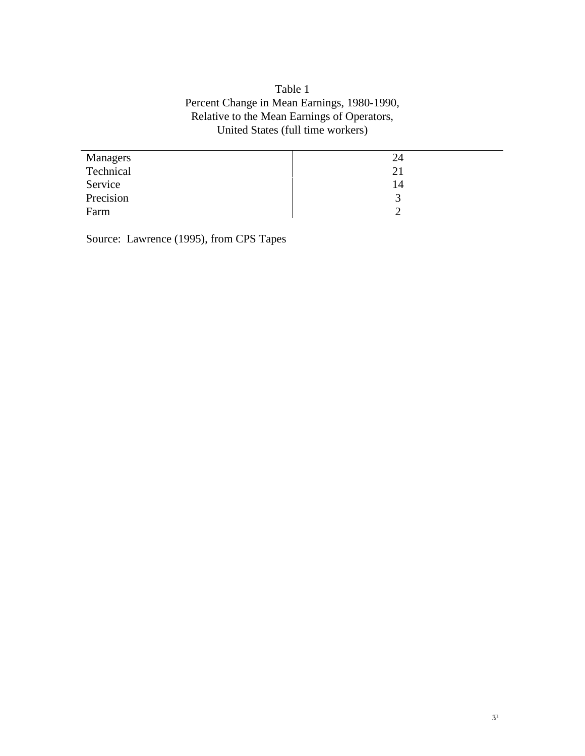## Table 1 Percent Change in Mean Earnings, 1980-1990, Relative to the Mean Earnings of Operators, United States (full time workers)

| <b>Managers</b> | 24             |
|-----------------|----------------|
| Technical       | 2 <sub>1</sub> |
| Service         | 14             |
| Precision       |                |
| Farm            |                |

Source: Lawrence (1995), from CPS Tapes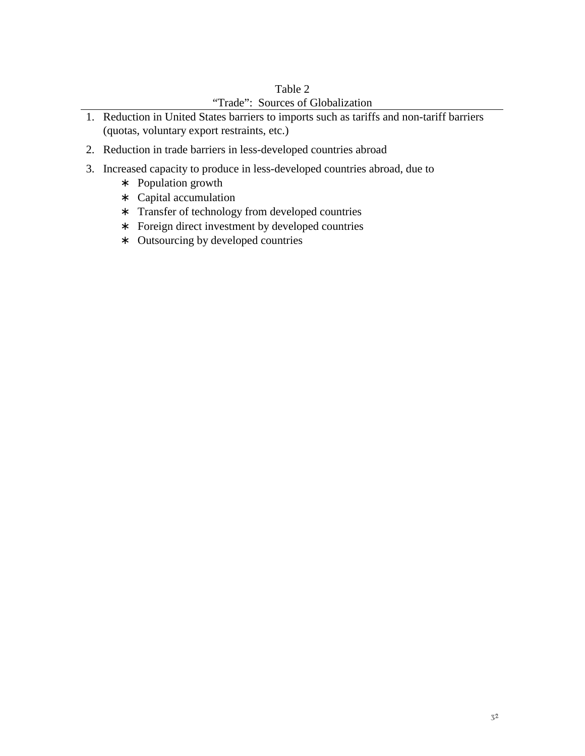## Table 2 "Trade": Sources of Globalization

- 1. Reduction in United States barriers to imports such as tariffs and non-tariff barriers (quotas, voluntary export restraints, etc.)
- 2. Reduction in trade barriers in less-developed countries abroad
- 3. Increased capacity to produce in less-developed countries abroad, due to
	- ∗ Population growth
	- ∗ Capital accumulation
	- ∗ Transfer of technology from developed countries
	- ∗ Foreign direct investment by developed countries
	- ∗ Outsourcing by developed countries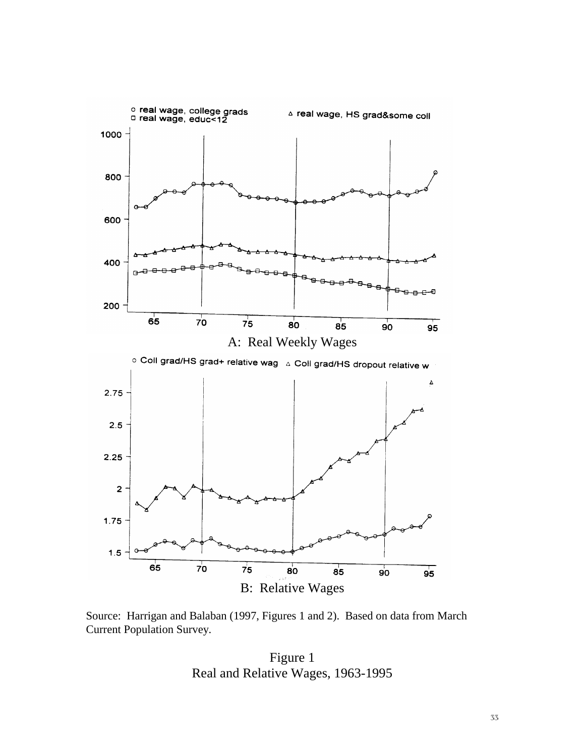

Source: Harrigan and Balaban (1997, Figures 1 and 2). Based on data from March Current Population Survey.

Figure 1 Real and Relative Wages, 1963-1995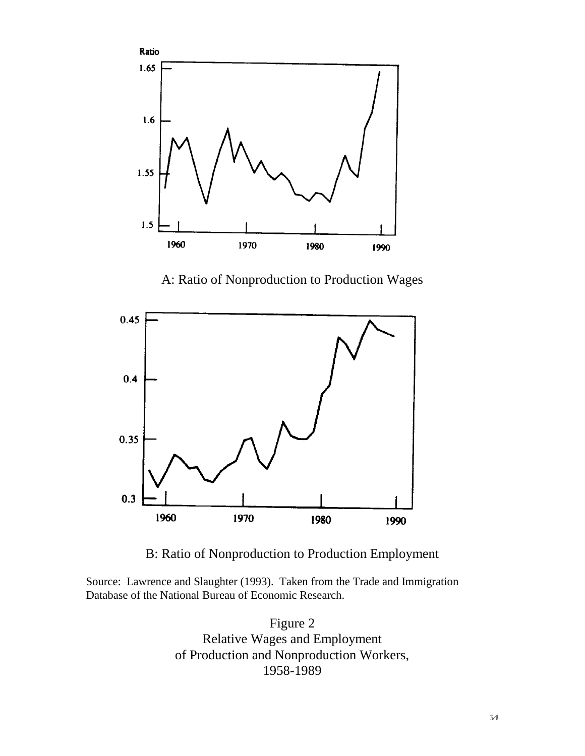

A: Ratio of Nonproduction to Production Wages



B: Ratio of Nonproduction to Production Employment

Source: Lawrence and Slaughter (1993). Taken from the Trade and Immigration Database of the National Bureau of Economic Research.

> Figure 2 Relative Wages and Employment of Production and Nonproduction Workers, 1958-1989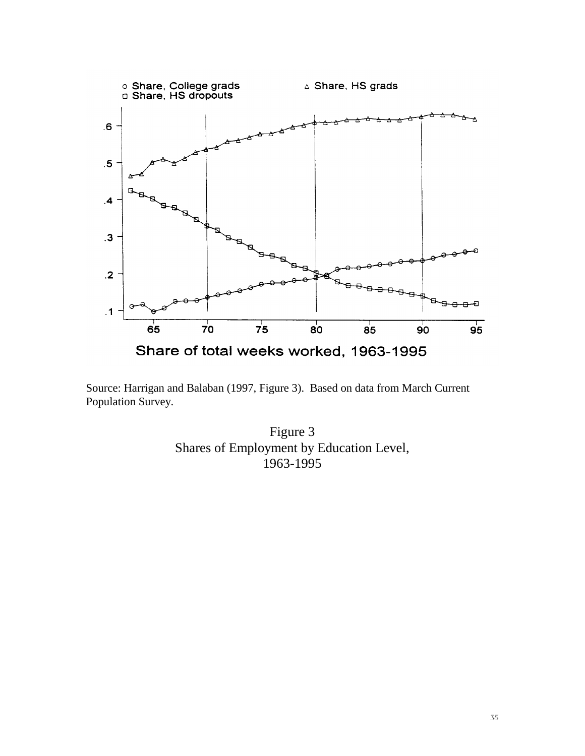

Source: Harrigan and Balaban (1997, Figure 3). Based on data from March Current Population Survey.

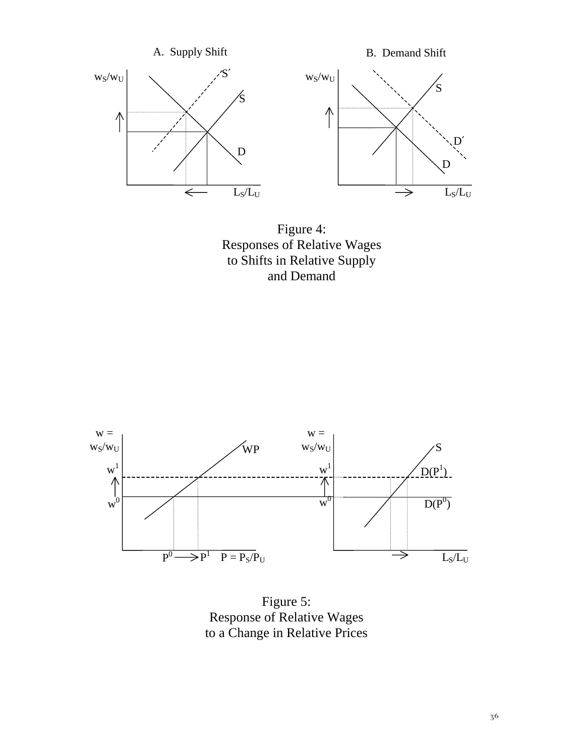

Figure 4: Responses of Relative Wages to Shifts in Relative Supply and Demand



Figure 5: Response of Relative Wages to a Change in Relative Prices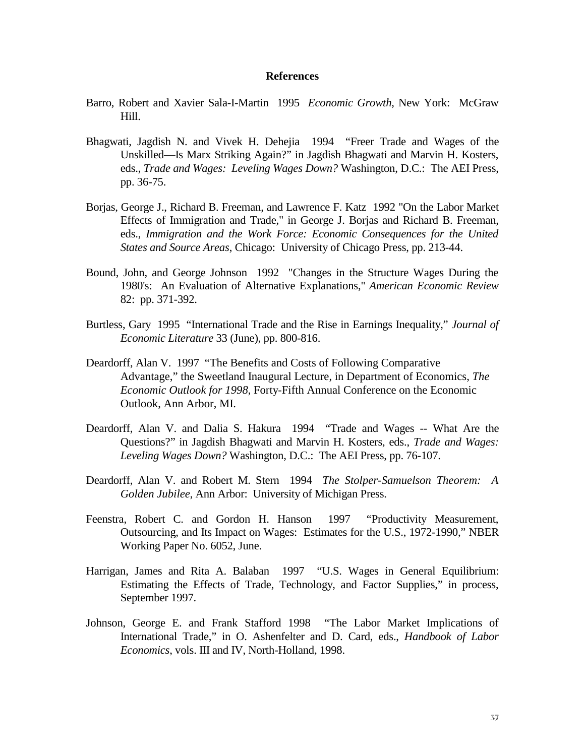#### **References**

- Barro, Robert and Xavier Sala-I-Martin 1995 *Economic Growth*, New York: McGraw Hill.
- Bhagwati, Jagdish N. and Vivek H. Dehejia 1994 "Freer Trade and Wages of the Unskilled—Is Marx Striking Again?" in Jagdish Bhagwati and Marvin H. Kosters, eds., *Trade and Wages: Leveling Wages Down?* Washington, D.C.: The AEI Press, pp. 36-75.
- Borjas, George J., Richard B. Freeman, and Lawrence F. Katz 1992 "On the Labor Market Effects of Immigration and Trade," in George J. Borjas and Richard B. Freeman, eds., *Immigration and the Work Force: Economic Consequences for the United States and Source Areas*, Chicago: University of Chicago Press, pp. 213-44.
- Bound, John, and George Johnson 1992 "Changes in the Structure Wages During the 1980's: An Evaluation of Alternative Explanations," *American Economic Review* 82: pp. 371-392.
- Burtless, Gary 1995 "International Trade and the Rise in Earnings Inequality," *Journal of Economic Literature* 33 (June), pp. 800-816.
- Deardorff, Alan V. 1997 "The Benefits and Costs of Following Comparative Advantage," the Sweetland Inaugural Lecture, in Department of Economics, *The Economic Outlook for 1998*, Forty-Fifth Annual Conference on the Economic Outlook, Ann Arbor, MI.
- Deardorff, Alan V. and Dalia S. Hakura 1994 "Trade and Wages -- What Are the Questions?" in Jagdish Bhagwati and Marvin H. Kosters, eds., *Trade and Wages: Leveling Wages Down?* Washington, D.C.: The AEI Press, pp. 76-107.
- Deardorff, Alan V. and Robert M. Stern 1994 *The Stolper-Samuelson Theorem: A Golden Jubilee*, Ann Arbor: University of Michigan Press.
- Feenstra, Robert C. and Gordon H. Hanson 1997 "Productivity Measurement, Outsourcing, and Its Impact on Wages: Estimates for the U.S., 1972-1990," NBER Working Paper No. 6052, June.
- Harrigan, James and Rita A. Balaban 1997 "U.S. Wages in General Equilibrium: Estimating the Effects of Trade, Technology, and Factor Supplies," in process, September 1997.
- Johnson, George E. and Frank Stafford 1998 "The Labor Market Implications of International Trade," in O. Ashenfelter and D. Card, eds., *Handbook of Labor Economics*, vols. III and IV, North-Holland, 1998.